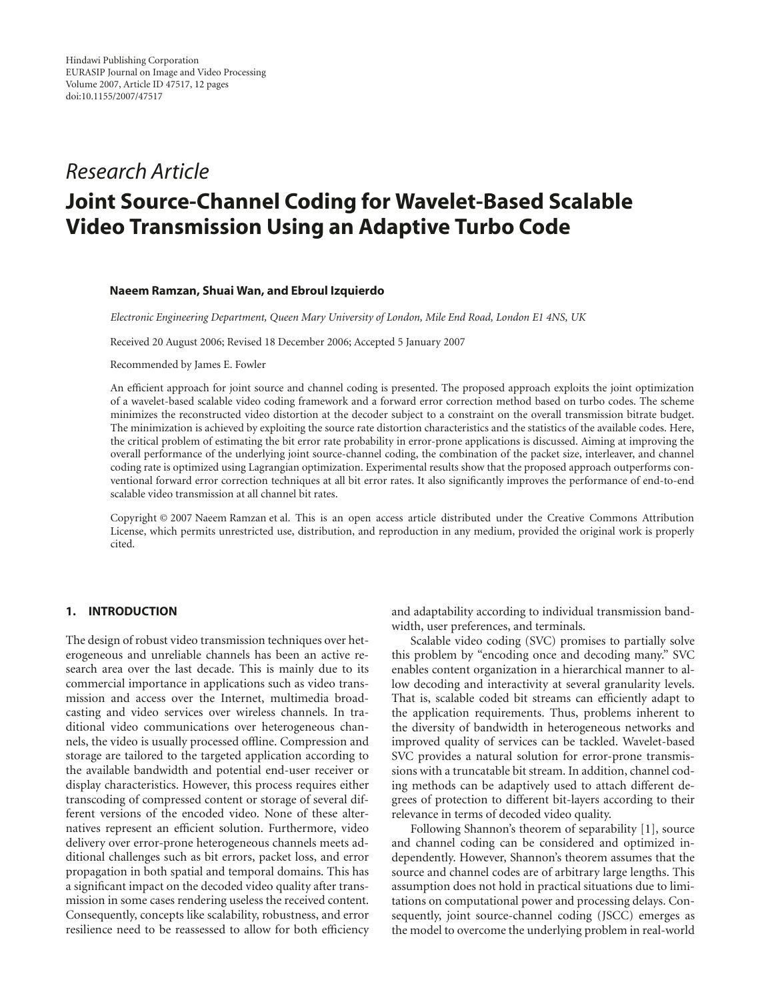## *Research Article*

# **Joint Source-Channel Coding for Wavelet-Based Scalable Video Transmission Using an Adaptive Turbo Code**

#### **Naeem Ramzan, Shuai Wan, and Ebroul Izquierdo**

*Electronic Engineering Department, Queen Mary University of London, Mile End Road, London E1 4NS, UK*

Received 20 August 2006; Revised 18 December 2006; Accepted 5 January 2007

Recommended by James E. Fowler

An efficient approach for joint source and channel coding is presented. The proposed approach exploits the joint optimization of a wavelet-based scalable video coding framework and a forward error correction method based on turbo codes. The scheme minimizes the reconstructed video distortion at the decoder subject to a constraint on the overall transmission bitrate budget. The minimization is achieved by exploiting the source rate distortion characteristics and the statistics of the available codes. Here, the critical problem of estimating the bit error rate probability in error-prone applications is discussed. Aiming at improving the overall performance of the underlying joint source-channel coding, the combination of the packet size, interleaver, and channel coding rate is optimized using Lagrangian optimization. Experimental results show that the proposed approach outperforms conventional forward error correction techniques at all bit error rates. It also significantly improves the performance of end-to-end scalable video transmission at all channel bit rates.

Copyright © 2007 Naeem Ramzan et al. This is an open access article distributed under the Creative Commons Attribution License, which permits unrestricted use, distribution, and reproduction in any medium, provided the original work is properly cited.

### **1. INTRODUCTION**

The design of robust video transmission techniques over heterogeneous and unreliable channels has been an active research area over the last decade. This is mainly due to its commercial importance in applications such as video transmission and access over the Internet, multimedia broadcasting and video services over wireless channels. In traditional video communications over heterogeneous channels, the video is usually processed offline. Compression and storage are tailored to the targeted application according to the available bandwidth and potential end-user receiver or display characteristics. However, this process requires either transcoding of compressed content or storage of several different versions of the encoded video. None of these alternatives represent an efficient solution. Furthermore, video delivery over error-prone heterogeneous channels meets additional challenges such as bit errors, packet loss, and error propagation in both spatial and temporal domains. This has a significant impact on the decoded video quality after transmission in some cases rendering useless the received content. Consequently, concepts like scalability, robustness, and error resilience need to be reassessed to allow for both efficiency and adaptability according to individual transmission bandwidth, user preferences, and terminals.

Scalable video coding (SVC) promises to partially solve this problem by "encoding once and decoding many." SVC enables content organization in a hierarchical manner to allow decoding and interactivity at several granularity levels. That is, scalable coded bit streams can efficiently adapt to the application requirements. Thus, problems inherent to the diversity of bandwidth in heterogeneous networks and improved quality of services can be tackled. Wavelet-based SVC provides a natural solution for error-prone transmissions with a truncatable bit stream. In addition, channel coding methods can be adaptively used to attach different degrees of protection to different bit-layers according to their relevance in terms of decoded video quality.

Following Shannon's theorem of separability [\[1\]](#page-10-1), source and channel coding can be considered and optimized independently. However, Shannon's theorem assumes that the source and channel codes are of arbitrary large lengths. This assumption does not hold in practical situations due to limitations on computational power and processing delays. Consequently, joint source-channel coding (JSCC) emerges as the model to overcome the underlying problem in real-world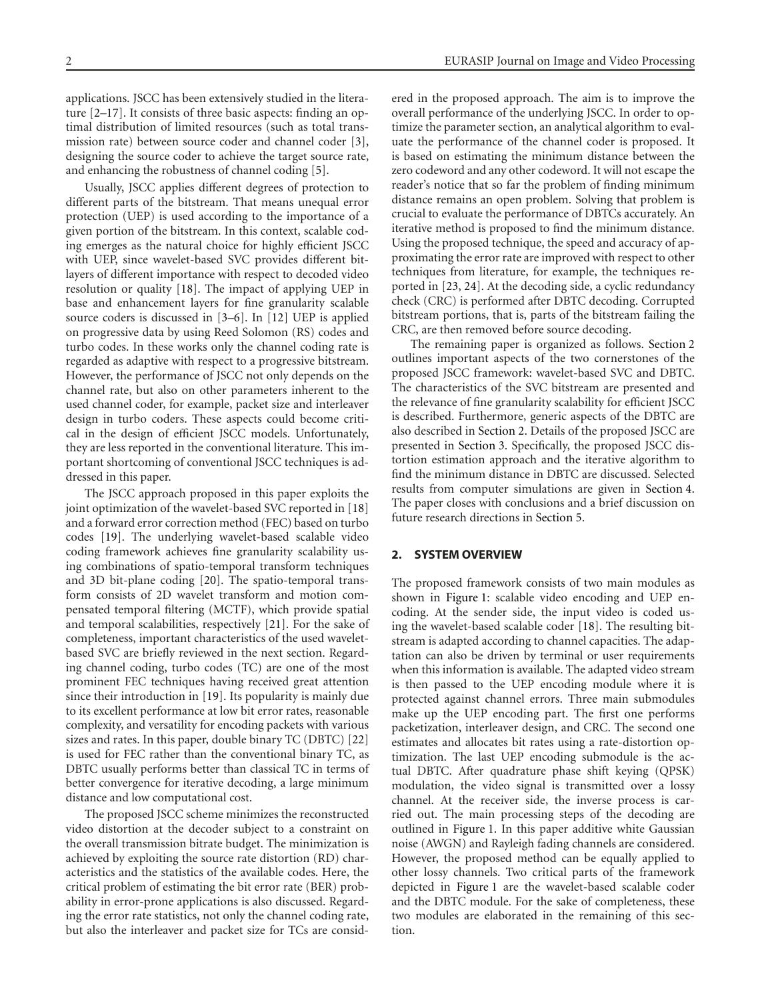applications. JSCC has been extensively studied in the literature [\[2](#page-10-2)[–17\]](#page-10-3). It consists of three basic aspects: finding an optimal distribution of limited resources (such as total transmission rate) between source coder and channel coder [\[3](#page-10-4)], designing the source coder to achieve the target source rate, and enhancing the robustness of channel coding [\[5\]](#page-10-5).

Usually, JSCC applies different degrees of protection to different parts of the bitstream. That means unequal error protection (UEP) is used according to the importance of a given portion of the bitstream. In this context, scalable coding emerges as the natural choice for highly efficient JSCC with UEP, since wavelet-based SVC provides different bitlayers of different importance with respect to decoded video resolution or quality [\[18\]](#page-10-6). The impact of applying UEP in base and enhancement layers for fine granularity scalable source coders is discussed in [\[3](#page-10-4)[–6](#page-10-7)]. In [\[12\]](#page-10-8) UEP is applied on progressive data by using Reed Solomon (RS) codes and turbo codes. In these works only the channel coding rate is regarded as adaptive with respect to a progressive bitstream. However, the performance of JSCC not only depends on the channel rate, but also on other parameters inherent to the used channel coder, for example, packet size and interleaver design in turbo coders. These aspects could become critical in the design of efficient JSCC models. Unfortunately, they are less reported in the conventional literature. This important shortcoming of conventional JSCC techniques is addressed in this paper.

The JSCC approach proposed in this paper exploits the joint optimization of the wavelet-based SVC reported in [\[18\]](#page-10-6) and a forward error correction method (FEC) based on turbo codes [\[19\]](#page-10-9). The underlying wavelet-based scalable video coding framework achieves fine granularity scalability using combinations of spatio-temporal transform techniques and 3D bit-plane coding [\[20](#page-10-10)]. The spatio-temporal transform consists of 2D wavelet transform and motion compensated temporal filtering (MCTF), which provide spatial and temporal scalabilities, respectively [\[21\]](#page-10-11). For the sake of completeness, important characteristics of the used waveletbased SVC are briefly reviewed in the next section. Regarding channel coding, turbo codes (TC) are one of the most prominent FEC techniques having received great attention since their introduction in [\[19](#page-10-9)]. Its popularity is mainly due to its excellent performance at low bit error rates, reasonable complexity, and versatility for encoding packets with various sizes and rates. In this paper, double binary TC (DBTC) [\[22\]](#page-10-12) is used for FEC rather than the conventional binary TC, as DBTC usually performs better than classical TC in terms of better convergence for iterative decoding, a large minimum distance and low computational cost.

The proposed JSCC scheme minimizes the reconstructed video distortion at the decoder subject to a constraint on the overall transmission bitrate budget. The minimization is achieved by exploiting the source rate distortion (RD) characteristics and the statistics of the available codes. Here, the critical problem of estimating the bit error rate (BER) probability in error-prone applications is also discussed. Regarding the error rate statistics, not only the channel coding rate, but also the interleaver and packet size for TCs are considered in the proposed approach. The aim is to improve the overall performance of the underlying JSCC. In order to optimize the parameter section, an analytical algorithm to evaluate the performance of the channel coder is proposed. It is based on estimating the minimum distance between the zero codeword and any other codeword. It will not escape the reader's notice that so far the problem of finding minimum distance remains an open problem. Solving that problem is crucial to evaluate the performance of DBTCs accurately. An iterative method is proposed to find the minimum distance. Using the proposed technique, the speed and accuracy of approximating the error rate are improved with respect to other techniques from literature, for example, the techniques reported in [\[23,](#page-10-13) [24](#page-11-0)]. At the decoding side, a cyclic redundancy check (CRC) is performed after DBTC decoding. Corrupted bitstream portions, that is, parts of the bitstream failing the CRC, are then removed before source decoding.

The remaining paper is organized as follows. [Section 2](#page-1-0) outlines important aspects of the two cornerstones of the proposed JSCC framework: wavelet-based SVC and DBTC. The characteristics of the SVC bitstream are presented and the relevance of fine granularity scalability for efficient JSCC is described. Furthermore, generic aspects of the DBTC are also described in [Section 2.](#page-1-0) Details of the proposed JSCC are presented in [Section 3.](#page-4-0) Specifically, the proposed JSCC distortion estimation approach and the iterative algorithm to find the minimum distance in DBTC are discussed. Selected results from computer simulations are given in [Section 4.](#page-6-0) The paper closes with conclusions and a brief discussion on future research directions in [Section 5.](#page-8-0)

#### <span id="page-1-0"></span>**2. SYSTEM OVERVIEW**

The proposed framework consists of two main modules as shown in [Figure 1:](#page-2-0) scalable video encoding and UEP encoding. At the sender side, the input video is coded using the wavelet-based scalable coder [\[18\]](#page-10-6). The resulting bitstream is adapted according to channel capacities. The adaptation can also be driven by terminal or user requirements when this information is available. The adapted video stream is then passed to the UEP encoding module where it is protected against channel errors. Three main submodules make up the UEP encoding part. The first one performs packetization, interleaver design, and CRC. The second one estimates and allocates bit rates using a rate-distortion optimization. The last UEP encoding submodule is the actual DBTC. After quadrature phase shift keying (QPSK) modulation, the video signal is transmitted over a lossy channel. At the receiver side, the inverse process is carried out. The main processing steps of the decoding are outlined in [Figure 1.](#page-2-0) In this paper additive white Gaussian noise (AWGN) and Rayleigh fading channels are considered. However, the proposed method can be equally applied to other lossy channels. Two critical parts of the framework depicted in [Figure 1](#page-2-0) are the wavelet-based scalable coder and the DBTC module. For the sake of completeness, these two modules are elaborated in the remaining of this section.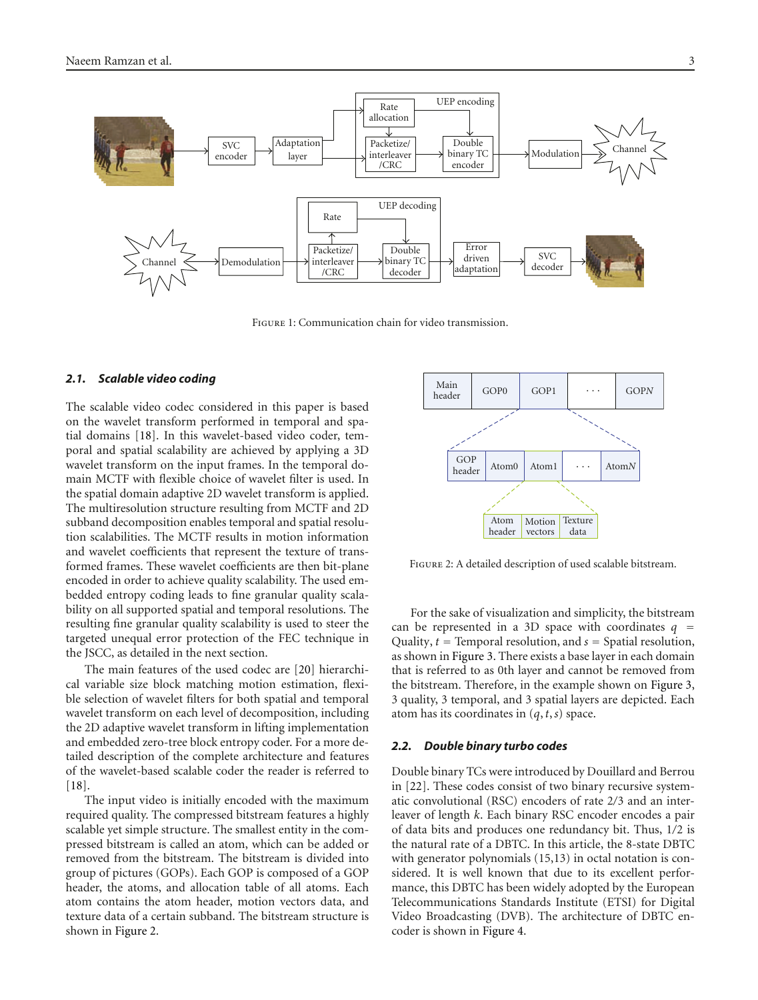

<span id="page-2-0"></span>Figure 1: Communication chain for video transmission.

#### *2.1. Scalable video coding*

The scalable video codec considered in this paper is based on the wavelet transform performed in temporal and spatial domains [\[18\]](#page-10-6). In this wavelet-based video coder, temporal and spatial scalability are achieved by applying a 3D wavelet transform on the input frames. In the temporal domain MCTF with flexible choice of wavelet filter is used. In the spatial domain adaptive 2D wavelet transform is applied. The multiresolution structure resulting from MCTF and 2D subband decomposition enables temporal and spatial resolution scalabilities. The MCTF results in motion information and wavelet coefficients that represent the texture of transformed frames. These wavelet coefficients are then bit-plane encoded in order to achieve quality scalability. The used embedded entropy coding leads to fine granular quality scalability on all supported spatial and temporal resolutions. The resulting fine granular quality scalability is used to steer the targeted unequal error protection of the FEC technique in the JSCC, as detailed in the next section.

The main features of the used codec are [\[20](#page-10-10)] hierarchical variable size block matching motion estimation, flexible selection of wavelet filters for both spatial and temporal wavelet transform on each level of decomposition, including the 2D adaptive wavelet transform in lifting implementation and embedded zero-tree block entropy coder. For a more detailed description of the complete architecture and features of the wavelet-based scalable coder the reader is referred to [\[18](#page-10-6)].

The input video is initially encoded with the maximum required quality. The compressed bitstream features a highly scalable yet simple structure. The smallest entity in the compressed bitstream is called an atom, which can be added or removed from the bitstream. The bitstream is divided into group of pictures (GOPs). Each GOP is composed of a GOP header, the atoms, and allocation table of all atoms. Each atom contains the atom header, motion vectors data, and texture data of a certain subband. The bitstream structure is shown in [Figure 2.](#page-2-1)



<span id="page-2-1"></span>Figure 2: A detailed description of used scalable bitstream.

For the sake of visualization and simplicity, the bitstream can be represented in a 3D space with coordinates  $q =$ Quality, *<sup>t</sup>* <sup>=</sup> Temporal resolution, and *<sup>s</sup>* <sup>=</sup> Spatial resolution, as shown in [Figure 3.](#page-3-0) There exists a base layer in each domain that is referred to as 0th layer and cannot be removed from the bitstream. Therefore, in the example shown on [Figure 3,](#page-3-0) 3 quality, 3 temporal, and 3 spatial layers are depicted. Each atom has its coordinates in (*q*,*t*,*s*) space.

#### *2.2. Double binary turbo codes*

Double binary TCs were introduced by Douillard and Berrou in [\[22](#page-10-12)]. These codes consist of two binary recursive systematic convolutional (RSC) encoders of rate 2*/*3 and an interleaver of length *k*. Each binary RSC encoder encodes a pair of data bits and produces one redundancy bit. Thus, 1*/*2 is the natural rate of a DBTC. In this article, the 8-state DBTC with generator polynomials (15,13) in octal notation is considered. It is well known that due to its excellent performance, this DBTC has been widely adopted by the European Telecommunications Standards Institute (ETSI) for Digital Video Broadcasting (DVB). The architecture of DBTC encoder is shown in [Figure 4.](#page-3-1)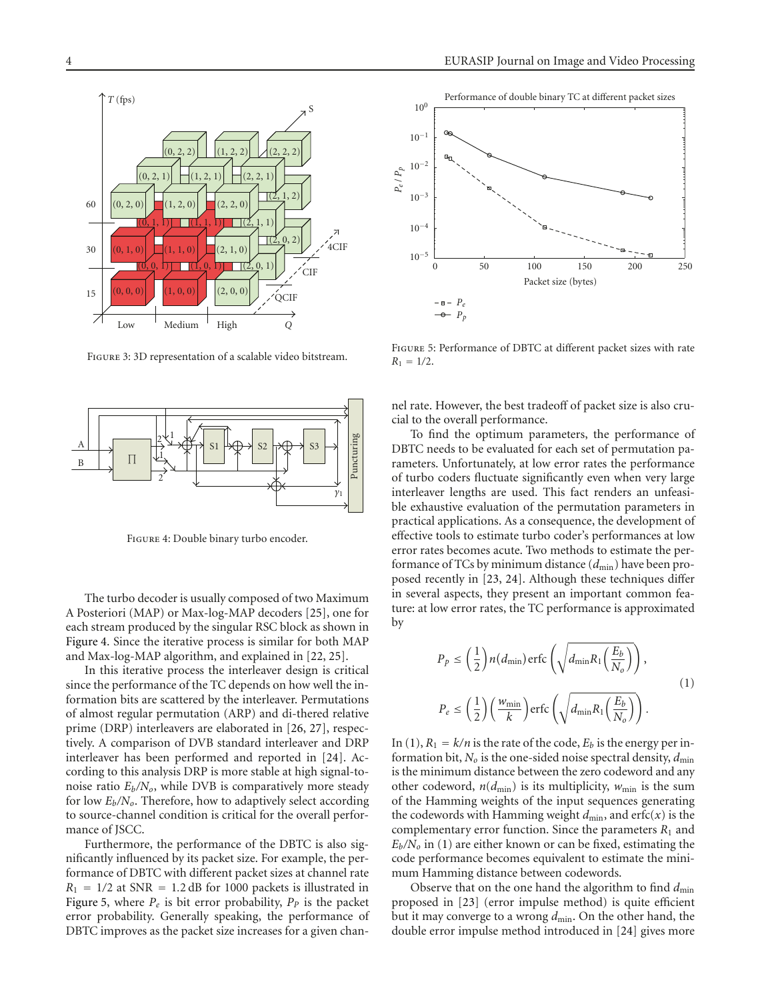

Figure 3: 3D representation of a scalable video bitstream.

<span id="page-3-0"></span>

<span id="page-3-1"></span>Figure 4: Double binary turbo encoder.

The turbo decoder is usually composed of two Maximum A Posteriori (MAP) or Max-log-MAP decoders [\[25](#page-11-1)], one for each stream produced by the singular RSC block as shown in [Figure 4.](#page-3-1) Since the iterative process is similar for both MAP and Max-log-MAP algorithm, and explained in [\[22,](#page-10-12) [25\]](#page-11-1).

In this iterative process the interleaver design is critical since the performance of the TC depends on how well the information bits are scattered by the interleaver. Permutations of almost regular permutation (ARP) and di-thered relative prime (DRP) interleavers are elaborated in [\[26](#page-11-2), [27\]](#page-11-3), respectively. A comparison of DVB standard interleaver and DRP interleaver has been performed and reported in [\[24](#page-11-0)]. According to this analysis DRP is more stable at high signal-tonoise ratio  $E_b/N_o$ , while DVB is comparatively more steady for low *Eb/No*. Therefore, how to adaptively select according to source-channel condition is critical for the overall performance of JSCC.

Furthermore, the performance of the DBTC is also significantly influenced by its packet size. For example, the performance of DBTC with different packet sizes at channel rate  $R_1 = 1/2$  at SNR = 1.2 dB for 1000 packets is illustrated in [Figure 5,](#page-3-2) where  $P_e$  is bit error probability,  $P_p$  is the packet error probability. Generally speaking, the performance of DBTC improves as the packet size increases for a given chan-



<span id="page-3-2"></span>Figure 5: Performance of DBTC at different packet sizes with rate  $R_1 = 1/2$ .

nel rate. However, the best tradeoff of packet size is also crucial to the overall performance.

To find the optimum parameters, the performance of DBTC needs to be evaluated for each set of permutation parameters. Unfortunately, at low error rates the performance of turbo coders fluctuate significantly even when very large interleaver lengths are used. This fact renders an unfeasible exhaustive evaluation of the permutation parameters in practical applications. As a consequence, the development of effective tools to estimate turbo coder's performances at low error rates becomes acute. Two methods to estimate the performance of TCs by minimum distance (*d*min) have been proposed recently in [\[23](#page-10-13), [24](#page-11-0)]. Although these techniques differ in several aspects, they present an important common feature: at low error rates, the TC performance is approximated by

<span id="page-3-3"></span>
$$
P_p \leq \left(\frac{1}{2}\right) n(d_{\min}) \operatorname{erfc}\left(\sqrt{d_{\min} R_1 \left(\frac{E_b}{N_o}\right)}\right),
$$
  

$$
P_e \leq \left(\frac{1}{2}\right) \left(\frac{w_{\min}}{k}\right) \operatorname{erfc}\left(\sqrt{d_{\min} R_1 \left(\frac{E_b}{N_o}\right)}\right).
$$
 (1)

In [\(1\)](#page-3-3),  $R_1 = k/n$  is the rate of the code,  $E_b$  is the energy per information bit,  $N<sub>o</sub>$  is the one-sided noise spectral density,  $d_{\text{min}}$ is the minimum distance between the zero codeword and any other codeword,  $n(d_{\text{min}})$  is its multiplicity,  $w_{\text{min}}$  is the sum of the Hamming weights of the input sequences generating the codewords with Hamming weight  $d_{\min}$ , and erfc(*x*) is the complementary error function. Since the parameters *R*<sup>1</sup> and  $E_b/N_o$  in [\(1\)](#page-3-3) are either known or can be fixed, estimating the code performance becomes equivalent to estimate the minimum Hamming distance between codewords.

Observe that on the one hand the algorithm to find  $d_{\text{min}}$ proposed in [\[23\]](#page-10-13) (error impulse method) is quite efficient but it may converge to a wrong  $d_{\text{min}}$ . On the other hand, the double error impulse method introduced in [\[24](#page-11-0)] gives more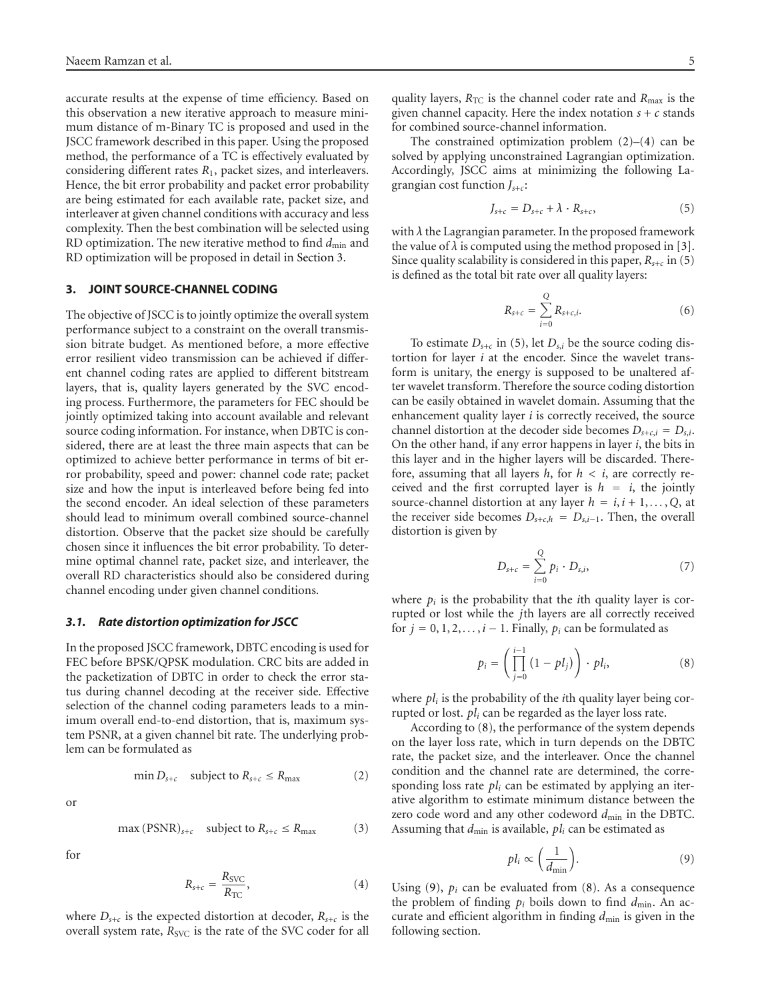accurate results at the expense of time efficiency. Based on this observation a new iterative approach to measure minimum distance of m-Binary TC is proposed and used in the JSCC framework described in this paper. Using the proposed method, the performance of a TC is effectively evaluated by considering different rates *R*1, packet sizes, and interleavers. Hence, the bit error probability and packet error probability are being estimated for each available rate, packet size, and interleaver at given channel conditions with accuracy and less complexity. Then the best combination will be selected using RD optimization. The new iterative method to find  $d_{\min}$  and RD optimization will be proposed in detail in [Section 3.](#page-4-0)

#### <span id="page-4-0"></span>**3. JOINT SOURCE-CHANNEL CODING**

The objective of JSCC is to jointly optimize the overall system performance subject to a constraint on the overall transmission bitrate budget. As mentioned before, a more effective error resilient video transmission can be achieved if different channel coding rates are applied to different bitstream layers, that is, quality layers generated by the SVC encoding process. Furthermore, the parameters for FEC should be jointly optimized taking into account available and relevant source coding information. For instance, when DBTC is considered, there are at least the three main aspects that can be optimized to achieve better performance in terms of bit error probability, speed and power: channel code rate; packet size and how the input is interleaved before being fed into the second encoder. An ideal selection of these parameters should lead to minimum overall combined source-channel distortion. Observe that the packet size should be carefully chosen since it influences the bit error probability. To determine optimal channel rate, packet size, and interleaver, the overall RD characteristics should also be considered during channel encoding under given channel conditions.

#### *3.1. Rate distortion optimization for JSCC*

In the proposed JSCC framework, DBTC encoding is used for FEC before BPSK/QPSK modulation. CRC bits are added in the packetization of DBTC in order to check the error status during channel decoding at the receiver side. Effective selection of the channel coding parameters leads to a minimum overall end-to-end distortion, that is, maximum system PSNR, at a given channel bit rate. The underlying problem can be formulated as

or

$$
\max(\text{PSNR})_{s+c} \quad \text{subject to } R_{s+c} \le R_{\text{max}} \tag{3}
$$

<span id="page-4-1"></span> $\min D_{s+c}$  subject to  $R_{s+c} \leq R_{\text{max}}$  (2)

for

<span id="page-4-2"></span>
$$
R_{s+c} = \frac{R_{SVC}}{R_{TC}},\tag{4}
$$

where  $D_{s+c}$  is the expected distortion at decoder,  $R_{s+c}$  is the overall system rate,  $R_{\text{SVC}}$  is the rate of the SVC coder for all

quality layers,  $R_{TC}$  is the channel coder rate and  $R_{max}$  is the given channel capacity. Here the index notation  $s + c$  stands for combined source-channel information.

The constrained optimization problem  $(2)$ – $(4)$  can be solved by applying unconstrained Lagrangian optimization. Accordingly, JSCC aims at minimizing the following Lagrangian cost function *Js*+*c*:

<span id="page-4-3"></span>
$$
J_{s+c} = D_{s+c} + \lambda \cdot R_{s+c}, \qquad (5)
$$

with *λ* the Lagrangian parameter. In the proposed framework the value of  $\lambda$  is computed using the method proposed in [\[3](#page-10-4)]. Since quality scalability is considered in this paper,  $R_{s+c}$  in [\(5\)](#page-4-3) is defined as the total bit rate over all quality layers:

$$
R_{s+c} = \sum_{i=0}^{Q} R_{s+c,i}.
$$
 (6)

To estimate  $D_{s+c}$  in [\(5\)](#page-4-3), let  $D_{s,i}$  be the source coding distortion for layer *i* at the encoder. Since the wavelet transform is unitary, the energy is supposed to be unaltered after wavelet transform. Therefore the source coding distortion can be easily obtained in wavelet domain. Assuming that the enhancement quality layer *i* is correctly received, the source channel distortion at the decoder side becomes  $D_{s+c,i} = D_{s,i}$ . On the other hand, if any error happens in layer *i*, the bits in this layer and in the higher layers will be discarded. Therefore, assuming that all layers  $h$ , for  $h < i$ , are correctly received and the first corrupted layer is  $h = i$ , the jointly source-channel distortion at any layer  $h = i, i + 1, \ldots, Q$ , at the receiver side becomes  $D_{s+c,h} = D_{s,i-1}$ . Then, the overall distortion is given by

$$
D_{s+c} = \sum_{i=0}^{Q} p_i \cdot D_{s,i}, \qquad (7)
$$

where  $p_i$  is the probability that the *i*th quality layer is corrupted or lost while the *j*th layers are all correctly received for  $j = 0, 1, 2, \ldots, i - 1$ . Finally,  $p_i$  can be formulated as

<span id="page-4-4"></span>
$$
p_i = \left(\prod_{j=0}^{i-1} (1 - pl_j)\right) \cdot pl_i,\tag{8}
$$

where *pli* is the probability of the *i*th quality layer being corrupted or lost. *pli* can be regarded as the layer loss rate.

According to [\(8\)](#page-4-4), the performance of the system depends on the layer loss rate, which in turn depends on the DBTC rate, the packet size, and the interleaver. Once the channel condition and the channel rate are determined, the corresponding loss rate *pli* can be estimated by applying an iterative algorithm to estimate minimum distance between the zero code word and any other codeword  $d_{\text{min}}$  in the DBTC. Assuming that  $d_{\min}$  is available,  $pl_i$  can be estimated as

<span id="page-4-5"></span>
$$
pl_i \propto \left(\frac{1}{d_{\min}}\right). \tag{9}
$$

Using  $(9)$ ,  $p_i$  can be evaluated from  $(8)$ . As a consequence the problem of finding  $p_i$  boils down to find  $d_{\min}$ . An accurate and efficient algorithm in finding  $d_{\text{min}}$  is given in the following section.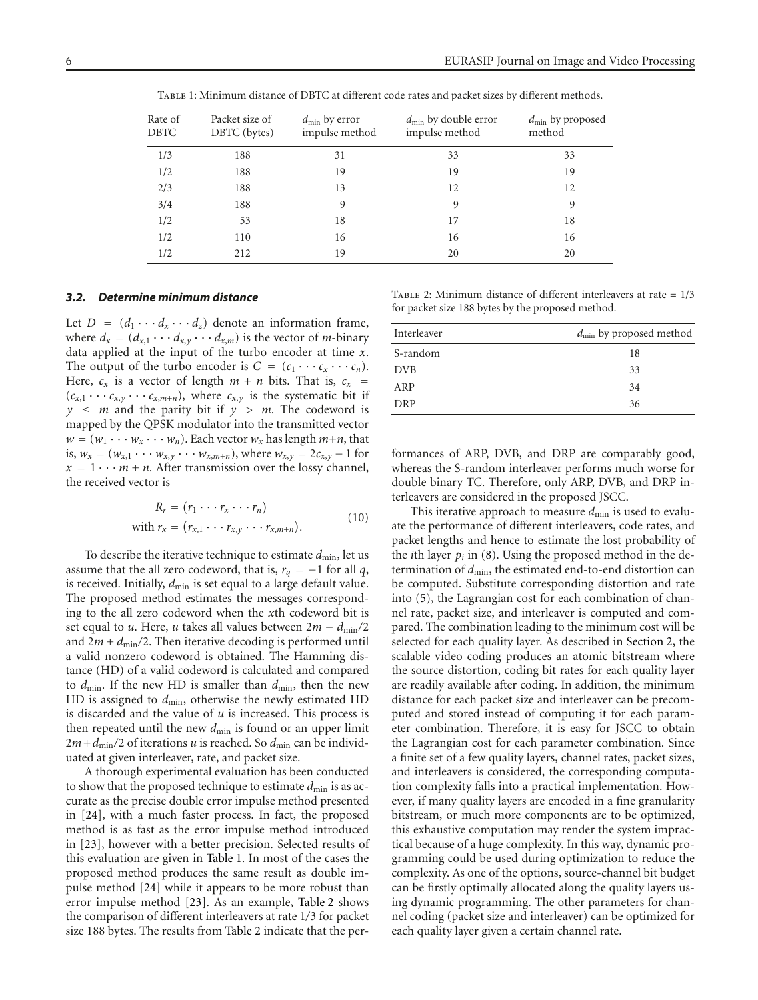<span id="page-5-0"></span>

| Rate of<br><b>DBTC</b> | Packet size of<br>DBTC (bytes) | $d_{\min}$ by error<br>impulse method | $d_{\min}$ by double error<br>impulse method | $d_{\min}$ by proposed<br>method |
|------------------------|--------------------------------|---------------------------------------|----------------------------------------------|----------------------------------|
| 1/3                    | 188                            | 31                                    | 33                                           | 33                               |
| 1/2                    | 188                            | 19                                    | 19                                           | 19                               |
| 2/3                    | 188                            | 13                                    | 12                                           | 12                               |
| 3/4                    | 188                            | 9                                     | 9                                            | 9                                |
| 1/2                    | 53                             | 18                                    | 17                                           | 18                               |
| 1/2                    | 110                            | 16                                    | 16                                           | 16                               |
| 1/2                    | 212                            | 19                                    | 20                                           | 20                               |

Table 1: Minimum distance of DBTC at different code rates and packet sizes by different methods.

#### *3.2. Determine minimum distance*

Let  $D = (d_1 \cdots d_x \cdots d_z)$  denote an information frame, where  $d_x = (d_{x,1} \cdots d_{x,y} \cdots d_{x,m})$  is the vector of *m*-binary data applied at the input of the turbo encoder at time *x*. The output of the turbo encoder is  $C = (c_1 \cdots c_x \cdots c_n)$ . Here,  $c_x$  is a vector of length  $m + n$  bits. That is,  $c_x$  =  $(c_{x,1} \cdots c_{x,y} \cdots c_{x,m+n})$ , where  $c_{x,y}$  is the systematic bit if  $y \leq m$  and the parity bit if  $y > m$ . The codeword is mapped by the QPSK modulator into the transmitted vector  $w = (w_1 \cdots w_x \cdots w_n)$ . Each vector  $w_x$  has length  $m+n$ , that is,  $w_x = (w_{x,1} \cdots w_{x,y} \cdots w_{x,m+n})$ , where  $w_{x,y} = 2c_{x,y} - 1$  for  $x = 1 \cdots m + n$ . After transmission over the lossy channel, the received vector is

$$
R_r = (r_1 \cdots r_x \cdots r_n)
$$
  
with 
$$
r_x = (r_{x,1} \cdots r_{x,y} \cdots r_{x,m+n}).
$$
 (10)

To describe the iterative technique to estimate  $d_{\min}$ , let us assume that the all zero codeword, that is,  $r_q = -1$  for all *q*, is received. Initially,  $d_{\text{min}}$  is set equal to a large default value. The proposed method estimates the messages corresponding to the all zero codeword when the *x*th codeword bit is set equal to *u*. Here, *u* takes all values between  $2m - d_{\text{min}}/2$ and  $2m + d_{\text{min}}/2$ . Then iterative decoding is performed until a valid nonzero codeword is obtained. The Hamming distance (HD) of a valid codeword is calculated and compared to  $d_{\text{min}}$ . If the new HD is smaller than  $d_{\text{min}}$ , then the new HD is assigned to *d*min, otherwise the newly estimated HD is discarded and the value of *u* is increased. This process is then repeated until the new  $d_{\min}$  is found or an upper limit  $2m + d_{\text{min}}/2$  of iterations *u* is reached. So  $d_{\text{min}}$  can be individuated at given interleaver, rate, and packet size.

A thorough experimental evaluation has been conducted to show that the proposed technique to estimate  $d_{\min}$  is as accurate as the precise double error impulse method presented in [\[24](#page-11-0)], with a much faster process. In fact, the proposed method is as fast as the error impulse method introduced in [\[23\]](#page-10-13), however with a better precision. Selected results of this evaluation are given in [Table 1.](#page-5-0) In most of the cases the proposed method produces the same result as double impulse method [\[24\]](#page-11-0) while it appears to be more robust than error impulse method [\[23\]](#page-10-13). As an example, [Table 2](#page-5-1) shows the comparison of different interleavers at rate 1*/*3 for packet size 188 bytes. The results from [Table 2](#page-5-1) indicate that the per-

| Interleaver | $d_{\min}$ by proposed method |
|-------------|-------------------------------|
| S-random    | 18                            |
| <b>DVB</b>  | 33                            |
| ARP         | 34                            |
| DRP         | 36                            |

Table 2: Minimum distance of different interleavers at rate = 1/3

<span id="page-5-1"></span>for packet size 188 bytes by the proposed method.

formances of ARP, DVB, and DRP are comparably good, whereas the S-random interleaver performs much worse for double binary TC. Therefore, only ARP, DVB, and DRP interleavers are considered in the proposed JSCC.

This iterative approach to measure  $d_{\min}$  is used to evaluate the performance of different interleavers, code rates, and packet lengths and hence to estimate the lost probability of the *i*th layer  $p_i$  in [\(8\)](#page-4-4). Using the proposed method in the determination of  $d_{\text{min}}$ , the estimated end-to-end distortion can be computed. Substitute corresponding distortion and rate into [\(5\)](#page-4-3), the Lagrangian cost for each combination of channel rate, packet size, and interleaver is computed and compared. The combination leading to the minimum cost will be selected for each quality layer. As described in [Section 2,](#page-1-0) the scalable video coding produces an atomic bitstream where the source distortion, coding bit rates for each quality layer are readily available after coding. In addition, the minimum distance for each packet size and interleaver can be precomputed and stored instead of computing it for each parameter combination. Therefore, it is easy for JSCC to obtain the Lagrangian cost for each parameter combination. Since a finite set of a few quality layers, channel rates, packet sizes, and interleavers is considered, the corresponding computation complexity falls into a practical implementation. However, if many quality layers are encoded in a fine granularity bitstream, or much more components are to be optimized, this exhaustive computation may render the system impractical because of a huge complexity. In this way, dynamic programming could be used during optimization to reduce the complexity. As one of the options, source-channel bit budget can be firstly optimally allocated along the quality layers using dynamic programming. The other parameters for channel coding (packet size and interleaver) can be optimized for each quality layer given a certain channel rate.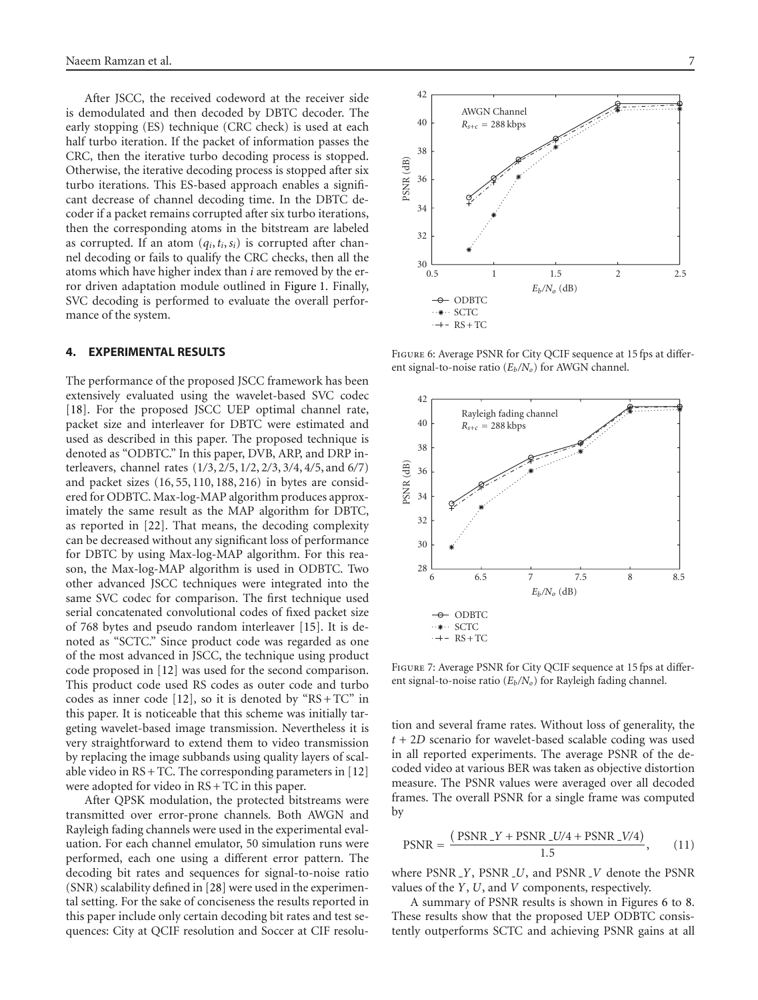After JSCC, the received codeword at the receiver side is demodulated and then decoded by DBTC decoder. The early stopping (ES) technique (CRC check) is used at each half turbo iteration. If the packet of information passes the CRC, then the iterative turbo decoding process is stopped. Otherwise, the iterative decoding process is stopped after six turbo iterations. This ES-based approach enables a significant decrease of channel decoding time. In the DBTC decoder if a packet remains corrupted after six turbo iterations, then the corresponding atoms in the bitstream are labeled as corrupted. If an atom  $(q_i, t_i, s_i)$  is corrupted after channel decoding or fails to qualify the CRC checks, then all the atoms which have higher index than *i* are removed by the error driven adaptation module outlined in [Figure 1.](#page-2-0) Finally, SVC decoding is performed to evaluate the overall performance of the system.

#### <span id="page-6-0"></span>**4. EXPERIMENTAL RESULTS**

The performance of the proposed JSCC framework has been extensively evaluated using the wavelet-based SVC codec [\[18](#page-10-6)]. For the proposed JSCC UEP optimal channel rate, packet size and interleaver for DBTC were estimated and used as described in this paper. The proposed technique is denoted as "ODBTC." In this paper, DVB, ARP, and DRP interleavers, channel rates (1*/*3, 2*/*5, 1*/*2, 2*/*3, 3*/*4, 4*/*5, and 6*/*7) and packet sizes (16, 55, 110, 188, 216) in bytes are considered for ODBTC. Max-log-MAP algorithm produces approximately the same result as the MAP algorithm for DBTC, as reported in [\[22](#page-10-12)]. That means, the decoding complexity can be decreased without any significant loss of performance for DBTC by using Max-log-MAP algorithm. For this reason, the Max-log-MAP algorithm is used in ODBTC. Two other advanced JSCC techniques were integrated into the same SVC codec for comparison. The first technique used serial concatenated convolutional codes of fixed packet size of 768 bytes and pseudo random interleaver [\[15](#page-10-14)]. It is denoted as "SCTC." Since product code was regarded as one of the most advanced in JSCC, the technique using product code proposed in [\[12](#page-10-8)] was used for the second comparison. This product code used RS codes as outer code and turbo codes as inner code [\[12\]](#page-10-8), so it is denoted by " $RS + TC$ " in this paper. It is noticeable that this scheme was initially targeting wavelet-based image transmission. Nevertheless it is very straightforward to extend them to video transmission by replacing the image subbands using quality layers of scalable video in  $RS + TC$ . The corresponding parameters in [\[12\]](#page-10-8) were adopted for video in RS + TC in this paper.

After QPSK modulation, the protected bitstreams were transmitted over error-prone channels. Both AWGN and Rayleigh fading channels were used in the experimental evaluation. For each channel emulator, 50 simulation runs were performed, each one using a different error pattern. The decoding bit rates and sequences for signal-to-noise ratio (SNR) scalability defined in [\[28\]](#page-11-4) were used in the experimental setting. For the sake of conciseness the results reported in this paper include only certain decoding bit rates and test sequences: City at QCIF resolution and Soccer at CIF resolu-



Figure 6: Average PSNR for City QCIF sequence at 15 fps at different signal-to-noise ratio ( $E_b/N_o$ ) for AWGN channel.

<span id="page-6-1"></span>

Figure 7: Average PSNR for City QCIF sequence at 15 fps at different signal-to-noise ratio ( $E_b/N_o$ ) for Rayleigh fading channel.

tion and several frame rates. Without loss of generality, the *t* + 2*D* scenario for wavelet-based scalable coding was used in all reported experiments. The average PSNR of the decoded video at various BER was taken as objective distortion measure. The PSNR values were averaged over all decoded frames. The overall PSNR for a single frame was computed by

$$
PSNR = \frac{(PSNR \, Y + PSNR \, UV/4 + PSNR \, LV/4)}{1.5},\tag{11}
$$

where PSNR *Y*, PSNR *U*, and PSNR *V* denote the PSNR values of the *Y*, *U*, and *V* components, respectively.

A summary of PSNR results is shown in Figures [6](#page-6-1) to [8.](#page-7-0) These results show that the proposed UEP ODBTC consistently outperforms SCTC and achieving PSNR gains at all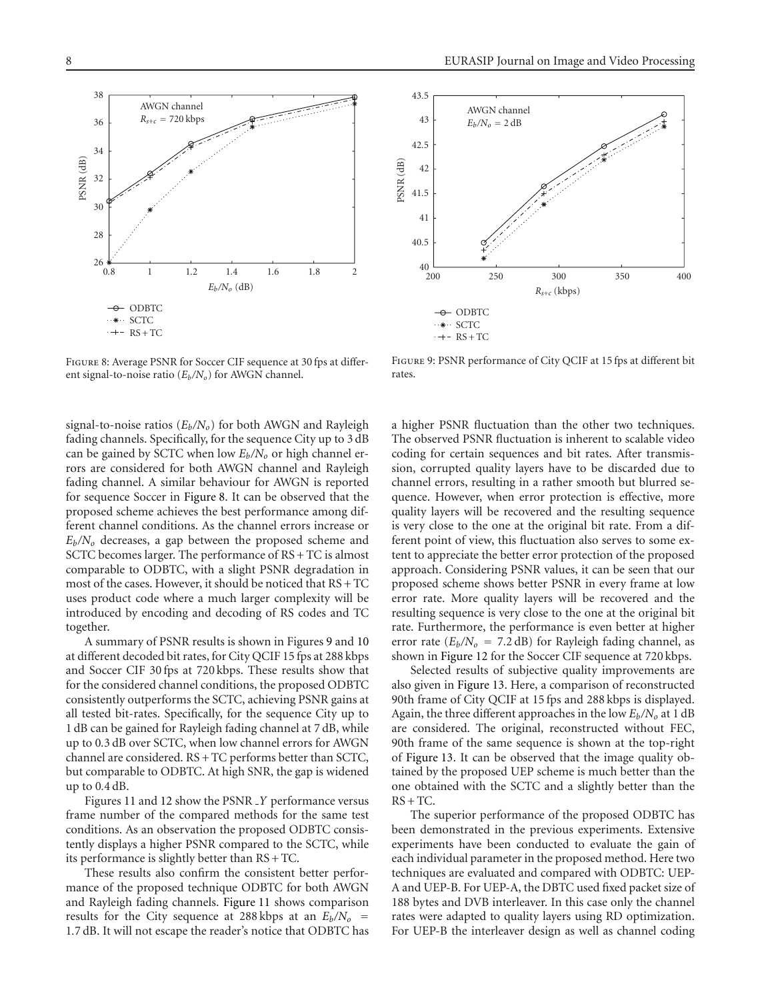

<span id="page-7-0"></span>Figure 8: Average PSNR for Soccer CIF sequence at 30 fps at different signal-to-noise ratio  $(E_b/N_o)$  for AWGN channel.

signal-to-noise ratios  $(E_b/N_o)$  for both AWGN and Rayleigh fading channels. Specifically, for the sequence City up to 3 dB can be gained by SCTC when low  $E_b/N_o$  or high channel errors are considered for both AWGN channel and Rayleigh fading channel. A similar behaviour for AWGN is reported for sequence Soccer in [Figure 8.](#page-7-0) It can be observed that the proposed scheme achieves the best performance among different channel conditions. As the channel errors increase or *Eb/No* decreases, a gap between the proposed scheme and SCTC becomes larger. The performance of RS + TC is almost comparable to ODBTC, with a slight PSNR degradation in most of the cases. However, it should be noticed that RS + TC uses product code where a much larger complexity will be introduced by encoding and decoding of RS codes and TC together.

A summary of PSNR results is shown in Figures [9](#page-7-1) and [10](#page-8-1) at different decoded bit rates, for City QCIF 15 fps at 288 kbps and Soccer CIF 30 fps at 720 kbps. These results show that for the considered channel conditions, the proposed ODBTC consistently outperforms the SCTC, achieving PSNR gains at all tested bit-rates. Specifically, for the sequence City up to 1 dB can be gained for Rayleigh fading channel at 7 dB, while up to 0*.*3 dB over SCTC, when low channel errors for AWGN channel are considered. RS + TC performs better than SCTC, but comparable to ODBTC. At high SNR, the gap is widened up to 0*.*4 dB.

Figures [11](#page-8-2) and [12](#page-8-3) show the PSNR *Y* performance versus frame number of the compared methods for the same test conditions. As an observation the proposed ODBTC consistently displays a higher PSNR compared to the SCTC, while its performance is slightly better than RS + TC.

These results also confirm the consistent better performance of the proposed technique ODBTC for both AWGN and Rayleigh fading channels. [Figure 11](#page-8-2) shows comparison results for the City sequence at 288 kbps at an  $E_b/N_o$  = 1*.*7 dB. It will not escape the reader's notice that ODBTC has



<span id="page-7-1"></span>Figure 9: PSNR performance of City QCIF at 15 fps at different bit rates.

a higher PSNR fluctuation than the other two techniques. The observed PSNR fluctuation is inherent to scalable video coding for certain sequences and bit rates. After transmission, corrupted quality layers have to be discarded due to channel errors, resulting in a rather smooth but blurred sequence. However, when error protection is effective, more quality layers will be recovered and the resulting sequence is very close to the one at the original bit rate. From a different point of view, this fluctuation also serves to some extent to appreciate the better error protection of the proposed approach. Considering PSNR values, it can be seen that our proposed scheme shows better PSNR in every frame at low error rate. More quality layers will be recovered and the resulting sequence is very close to the one at the original bit rate. Furthermore, the performance is even better at higher error rate  $(E_b/N_o = 7.2 \text{ dB})$  for Rayleigh fading channel, as shown in [Figure 12](#page-8-3) for the Soccer CIF sequence at 720 kbps.

Selected results of subjective quality improvements are also given in [Figure 13.](#page-9-0) Here, a comparison of reconstructed 90th frame of City QCIF at 15 fps and 288 kbps is displayed. Again, the three different approaches in the low  $E_b/N_o$  at 1 dB are considered. The original, reconstructed without FEC, 90th frame of the same sequence is shown at the top-right of [Figure 13.](#page-9-0) It can be observed that the image quality obtained by the proposed UEP scheme is much better than the one obtained with the SCTC and a slightly better than the  $RS + TC$ .

The superior performance of the proposed ODBTC has been demonstrated in the previous experiments. Extensive experiments have been conducted to evaluate the gain of each individual parameter in the proposed method. Here two techniques are evaluated and compared with ODBTC: UEP-A and UEP-B. For UEP-A, the DBTC used fixed packet size of 188 bytes and DVB interleaver. In this case only the channel rates were adapted to quality layers using RD optimization. For UEP-B the interleaver design as well as channel coding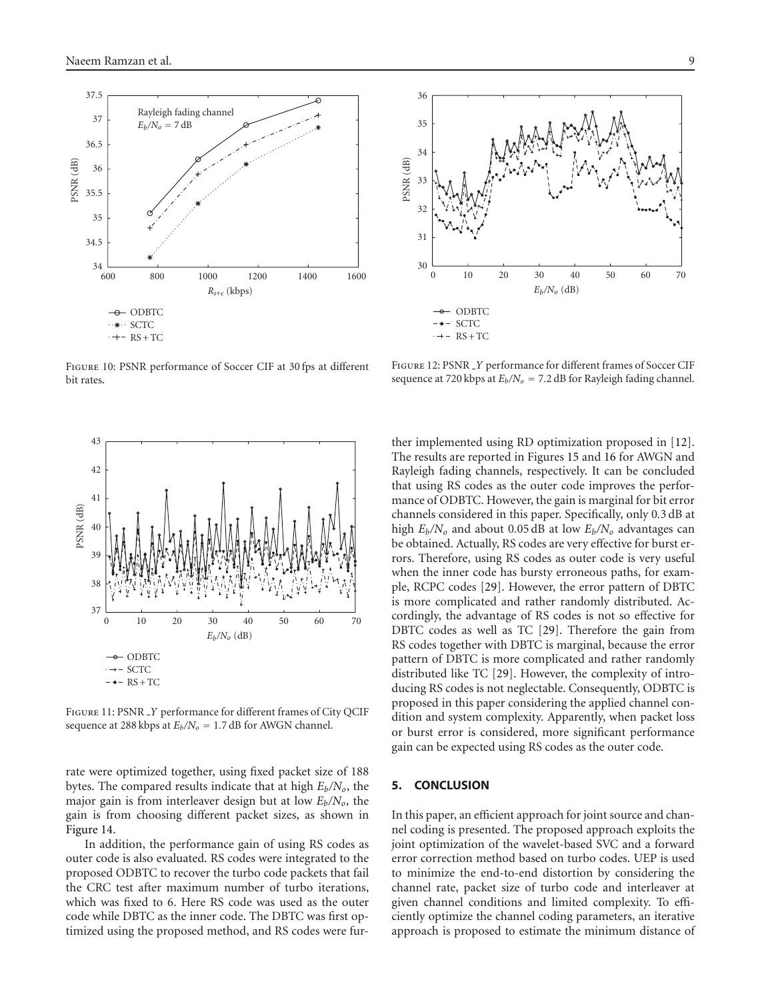

<span id="page-8-1"></span>Figure 10: PSNR performance of Soccer CIF at 30 fps at different bit rates.



<span id="page-8-2"></span>Figure 11: PSNR *Y* performance for different frames of City QCIF sequence at 288 kbps at  $E_b/N_o = 1.7$  dB for AWGN channel.

rate were optimized together, using fixed packet size of 188 bytes. The compared results indicate that at high  $E_b/N_o$ , the major gain is from interleaver design but at low *Eb/No*, the gain is from choosing different packet sizes, as shown in [Figure 14.](#page-9-1)

In addition, the performance gain of using RS codes as outer code is also evaluated. RS codes were integrated to the proposed ODBTC to recover the turbo code packets that fail the CRC test after maximum number of turbo iterations, which was fixed to 6. Here RS code was used as the outer code while DBTC as the inner code. The DBTC was first optimized using the proposed method, and RS codes were fur-



<span id="page-8-3"></span>Figure 12: PSNR *Y* performance for different frames of Soccer CIF sequence at 720 kbps at  $E_b/N_o = 7.2$  dB for Rayleigh fading channel.

ther implemented using RD optimization proposed in [\[12](#page-10-8)]. The results are reported in Figures [15](#page-9-2) and [16](#page-10-15) for AWGN and Rayleigh fading channels, respectively. It can be concluded that using RS codes as the outer code improves the performance of ODBTC. However, the gain is marginal for bit error channels considered in this paper. Specifically, only 0*.*3 dB at high  $E_b/N_o$  and about 0.05 dB at low  $E_b/N_o$  advantages can be obtained. Actually, RS codes are very effective for burst errors. Therefore, using RS codes as outer code is very useful when the inner code has bursty erroneous paths, for example, RCPC codes [\[29\]](#page-11-5). However, the error pattern of DBTC is more complicated and rather randomly distributed. Accordingly, the advantage of RS codes is not so effective for DBTC codes as well as TC [\[29](#page-11-5)]. Therefore the gain from RS codes together with DBTC is marginal, because the error pattern of DBTC is more complicated and rather randomly distributed like TC [\[29\]](#page-11-5). However, the complexity of introducing RS codes is not neglectable. Consequently, ODBTC is proposed in this paper considering the applied channel condition and system complexity. Apparently, when packet loss or burst error is considered, more significant performance gain can be expected using RS codes as the outer code.

#### <span id="page-8-0"></span>**5. CONCLUSION**

In this paper, an efficient approach for joint source and channel coding is presented. The proposed approach exploits the joint optimization of the wavelet-based SVC and a forward error correction method based on turbo codes. UEP is used to minimize the end-to-end distortion by considering the channel rate, packet size of turbo code and interleaver at given channel conditions and limited complexity. To efficiently optimize the channel coding parameters, an iterative approach is proposed to estimate the minimum distance of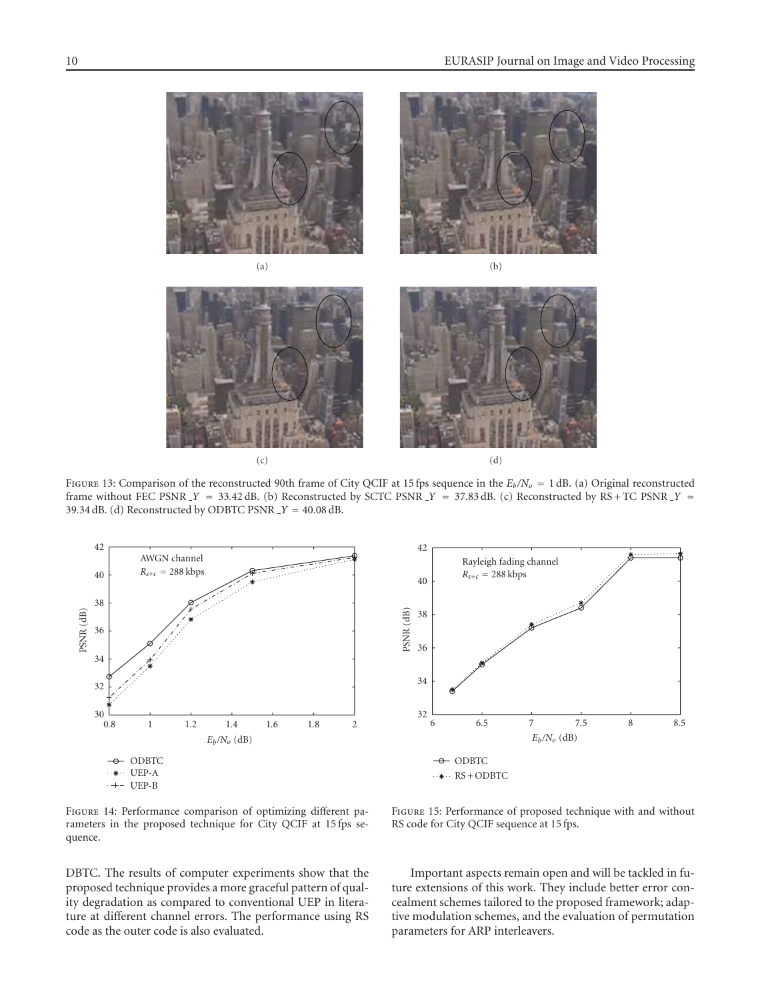

<span id="page-9-0"></span>FIGURE 13: Comparison of the reconstructed 90th frame of City QCIF at 15 fps sequence in the  $E_b/N_o = 1$  dB. (a) Original reconstructed frame without FEC PSNR  $Y = 33.42$  dB. (b) Reconstructed by SCTC PSNR  $Y = 37.83$  dB. (c) Reconstructed by RS + TC PSNR  $Y = 37.83$ <sup>39</sup>*.*34 dB. (d) Reconstructed by ODBTC PSNR *<sup>Y</sup>* <sup>=</sup> <sup>40</sup>*.*08 dB.





<span id="page-9-1"></span>Figure 14: Performance comparison of optimizing different parameters in the proposed technique for City QCIF at 15 fps sequence.

DBTC. The results of computer experiments show that the proposed technique provides a more graceful pattern of quality degradation as compared to conventional UEP in literature at different channel errors. The performance using RS code as the outer code is also evaluated.

<span id="page-9-2"></span>Figure 15: Performance of proposed technique with and without RS code for City QCIF sequence at 15 fps.

Important aspects remain open and will be tackled in future extensions of this work. They include better error concealment schemes tailored to the proposed framework; adaptive modulation schemes, and the evaluation of permutation parameters for ARP interleavers.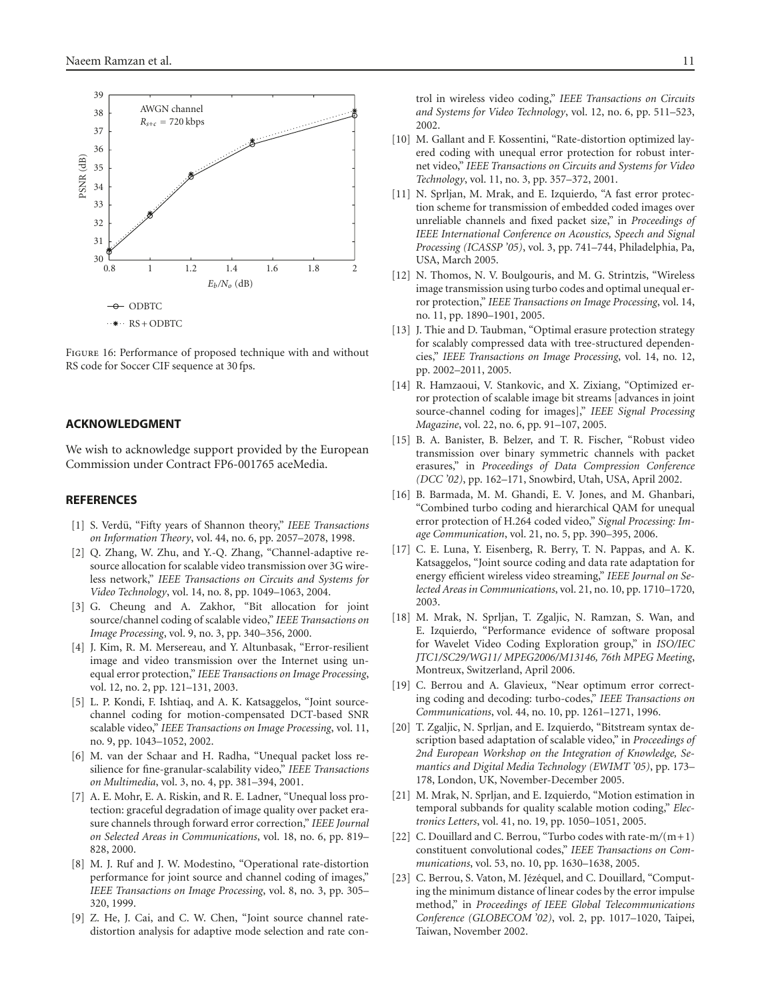

<span id="page-10-15"></span>Figure 16: Performance of proposed technique with and without RS code for Soccer CIF sequence at 30 fps.

#### **ACKNOWLEDGMENT**

We wish to acknowledge support provided by the European Commission under Contract FP6-001765 aceMedia.

#### <span id="page-10-1"></span><span id="page-10-0"></span>**REFERENCES**

- [1] S. Verdü, "Fifty years of Shannon theory," *IEEE Transactions on Information Theory*, vol. 44, no. 6, pp. 2057–2078, 1998.
- <span id="page-10-2"></span>[2] Q. Zhang, W. Zhu, and Y.-Q. Zhang, "Channel-adaptive resource allocation for scalable video transmission over 3G wireless network," *IEEE Transactions on Circuits and Systems for Video Technology*, vol. 14, no. 8, pp. 1049–1063, 2004.
- <span id="page-10-4"></span>[3] G. Cheung and A. Zakhor, "Bit allocation for joint source/channel coding of scalable video," *IEEE Transactions on Image Processing*, vol. 9, no. 3, pp. 340–356, 2000.
- [4] J. Kim, R. M. Mersereau, and Y. Altunbasak, "Error-resilient image and video transmission over the Internet using unequal error protection," *IEEE Transactions on Image Processing*, vol. 12, no. 2, pp. 121–131, 2003.
- <span id="page-10-5"></span>[5] L. P. Kondi, F. Ishtiaq, and A. K. Katsaggelos, "Joint sourcechannel coding for motion-compensated DCT-based SNR scalable video," *IEEE Transactions on Image Processing*, vol. 11, no. 9, pp. 1043–1052, 2002.
- <span id="page-10-7"></span>[6] M. van der Schaar and H. Radha, "Unequal packet loss resilience for fine-granular-scalability video," *IEEE Transactions on Multimedia*, vol. 3, no. 4, pp. 381–394, 2001.
- [7] A. E. Mohr, E. A. Riskin, and R. E. Ladner, "Unequal loss protection: graceful degradation of image quality over packet erasure channels through forward error correction," *IEEE Journal on Selected Areas in Communications*, vol. 18, no. 6, pp. 819– 828, 2000.
- [8] M. J. Ruf and J. W. Modestino, "Operational rate-distortion performance for joint source and channel coding of images," *IEEE Transactions on Image Processing*, vol. 8, no. 3, pp. 305– 320, 1999.
- [9] Z. He, J. Cai, and C. W. Chen, "Joint source channel ratedistortion analysis for adaptive mode selection and rate con-

trol in wireless video coding," *IEEE Transactions on Circuits and Systems for Video Technology*, vol. 12, no. 6, pp. 511–523, 2002.

- [10] M. Gallant and F. Kossentini, "Rate-distortion optimized layered coding with unequal error protection for robust internet video," *IEEE Transactions on Circuits and Systems for Video Technology*, vol. 11, no. 3, pp. 357–372, 2001.
- [11] N. Sprljan, M. Mrak, and E. Izquierdo, "A fast error protection scheme for transmission of embedded coded images over unreliable channels and fixed packet size," in *Proceedings of IEEE International Conference on Acoustics, Speech and Signal Processing (ICASSP '05)*, vol. 3, pp. 741–744, Philadelphia, Pa, USA, March 2005.
- <span id="page-10-8"></span>[12] N. Thomos, N. V. Boulgouris, and M. G. Strintzis, "Wireless image transmission using turbo codes and optimal unequal error protection," *IEEE Transactions on Image Processing*, vol. 14, no. 11, pp. 1890–1901, 2005.
- [13] J. Thie and D. Taubman, "Optimal erasure protection strategy for scalably compressed data with tree-structured dependencies," *IEEE Transactions on Image Processing*, vol. 14, no. 12, pp. 2002–2011, 2005.
- [14] R. Hamzaoui, V. Stankovic, and X. Zixiang, "Optimized error protection of scalable image bit streams [advances in joint source-channel coding for images]," *IEEE Signal Processing Magazine*, vol. 22, no. 6, pp. 91–107, 2005.
- <span id="page-10-14"></span>[15] B. A. Banister, B. Belzer, and T. R. Fischer, "Robust video transmission over binary symmetric channels with packet erasures," in *Proceedings of Data Compression Conference (DCC '02)*, pp. 162–171, Snowbird, Utah, USA, April 2002.
- [16] B. Barmada, M. M. Ghandi, E. V. Jones, and M. Ghanbari, "Combined turbo coding and hierarchical QAM for unequal error protection of H.264 coded video," *Signal Processing: Image Communication*, vol. 21, no. 5, pp. 390–395, 2006.
- <span id="page-10-3"></span>[17] C. E. Luna, Y. Eisenberg, R. Berry, T. N. Pappas, and A. K. Katsaggelos, "Joint source coding and data rate adaptation for energy efficient wireless video streaming," *IEEE Journal on Selected Areas in Communications*, vol. 21, no. 10, pp. 1710–1720, 2003.
- <span id="page-10-6"></span>[18] M. Mrak, N. Sprljan, T. Zgaljic, N. Ramzan, S. Wan, and E. Izquierdo, "Performance evidence of software proposal for Wavelet Video Coding Exploration group," in *ISO/IEC JTC1/SC29/WG11/ MPEG2006/M13146, 76th MPEG Meeting*, Montreux, Switzerland, April 2006.
- <span id="page-10-9"></span>[19] C. Berrou and A. Glavieux, "Near optimum error correcting coding and decoding: turbo-codes," *IEEE Transactions on Communications*, vol. 44, no. 10, pp. 1261–1271, 1996.
- <span id="page-10-10"></span>[20] T. Zgaljic, N. Sprljan, and E. Izquierdo, "Bitstream syntax description based adaptation of scalable video," in *Proceedings of 2nd European Workshop on the Integration of Knowledge, Semantics and Digital Media Technology (EWIMT '05)*, pp. 173– 178, London, UK, November-December 2005.
- <span id="page-10-11"></span>[21] M. Mrak, N. Sprljan, and E. Izquierdo, "Motion estimation in temporal subbands for quality scalable motion coding," *Electronics Letters*, vol. 41, no. 19, pp. 1050–1051, 2005.
- <span id="page-10-12"></span>[22] C. Douillard and C. Berrou, "Turbo codes with rate-m*/*(m+1) constituent convolutional codes," *IEEE Transactions on Communications*, vol. 53, no. 10, pp. 1630–1638, 2005.
- <span id="page-10-13"></span>[23] C. Berrou, S. Vaton, M. Jézéquel, and C. Douillard, "Computing the minimum distance of linear codes by the error impulse method," in *Proceedings of IEEE Global Telecommunications Conference (GLOBECOM '02)*, vol. 2, pp. 1017–1020, Taipei, Taiwan, November 2002.